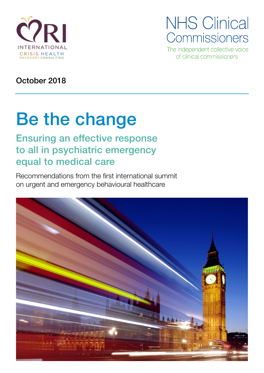

**NHS Clinical** Commissioners

The independent collective voice of clinical commissioners

October 2018

# Be the change

# Ensuring an effective response to all in psychiatric emergency equal to medical care

Recommendations from the first international summit on urgent and emergency behavioural healthcare

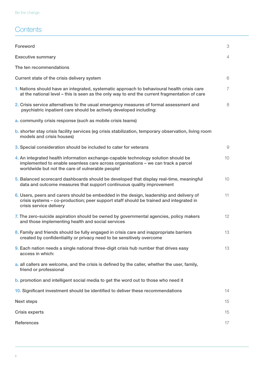## **Contents**

| Foreword                                                                                                                                                                                                                   | 3              |
|----------------------------------------------------------------------------------------------------------------------------------------------------------------------------------------------------------------------------|----------------|
| <b>Executive summary</b>                                                                                                                                                                                                   | $\overline{4}$ |
| The ten recommendations                                                                                                                                                                                                    |                |
| Current state of the crisis delivery system                                                                                                                                                                                | 6              |
| 1. Nations should have an integrated, systematic approach to behavioural health crisis care<br>at the national level – this is seen as the only way to end the current fragmentation of care                               | $\overline{7}$ |
| 2. Crisis service alternatives to the usual emergency measures of formal assessment and<br>psychiatric inpatient care should be actively developed including:                                                              | 8              |
| a. community crisis response (such as mobile crisis teams)                                                                                                                                                                 |                |
| b. shorter stay crisis facility services (eg crisis stabilization, temporary observation, living room<br>models and crisis houses)                                                                                         |                |
| 3. Special consideration should be included to cater for veterans                                                                                                                                                          | 9              |
| 4. An integrated health information exchange-capable technology solution should be<br>implemented to enable seamless care across organisations - we can track a parcel<br>worldwide but not the care of vulnerable people! | 10             |
| 5. Balanced scorecard dashboards should be developed that display real-time, meaningful<br>data and outcome measures that support continuous quality improvement                                                           | 10             |
| 6. Users, peers and carers should be embedded in the design, leadership and delivery of<br>crisis systems - co-production; peer support staff should be trained and integrated in<br>crisis service delivery               | 11             |
| 7. The zero-suicide aspiration should be owned by governmental agencies, policy makers<br>and those implementing health and social services                                                                                | 12             |
| 8. Family and friends should be fully engaged in crisis care and inappropriate barriers<br>created by confidentiality or privacy need to be sensitively overcome                                                           | 13             |
| 9. Each nation needs a single national three-digit crisis hub number that drives easy<br>access in which:                                                                                                                  | 13             |
| a. all callers are welcome, and the crisis is defined by the caller, whether the user, family,<br>friend or professional                                                                                                   |                |
| b. promotion and intelligent social media to get the word out to those who need it                                                                                                                                         |                |
| 10. Significant investment should be identified to deliver these recommendations                                                                                                                                           | 14             |
| <b>Next steps</b>                                                                                                                                                                                                          | 15             |
| Crisis experts                                                                                                                                                                                                             | 15             |
| References                                                                                                                                                                                                                 |                |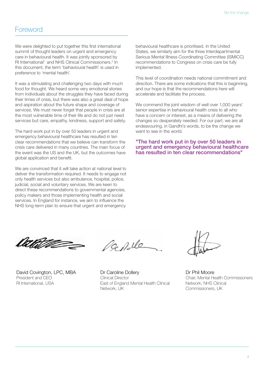### Foreword

We were delighted to put together this first international summit of thought leaders on urgent and emergency care in behavioural health. It was jointly sponsored by RI International<sup>1</sup> and NHS Clinical Commissioners.<sup>2</sup> In this document, the term 'behavioural health' is used in preference to 'mental health'.

It was a stimulating and challenging two days with much food for thought. We heard some very emotional stories from individuals about the struggles they have faced during their times of crisis, but there was also a great deal of hope and aspiration about the future shape and coverage of services. We must never forget that people in crisis are at the most vulnerable time of their life and do not just need services but care, empathy, kindness, support and safety.

The hard work put in by over 50 leaders in urgent and emergency behavioural healthcare has resulted in ten clear recommendations that we believe can transform the crisis care delivered in many countries. The main focus of the event was the US and the UK, but the outcomes have global application and benefit.

We are convinced that it will take action at national level to deliver the transformation required. It needs to engage not only health services but also ambulance, hospital, police, judicial, social and voluntary services. We are keen to direct these recommendations to governmental agencies, policy makers and those implementing health and social services. In England for instance, we aim to influence the NHS long-term plan to ensure that urgent and emergency

behavioural healthcare is prioritised. In the United States, we similarly aim for the three Interdepartmental Serious Mental Illness Coordinating Committee (ISMICC) recommendations to Congress on crisis care be fully implemented.

This level of coordination needs national commitment and direction. There are some indications that this is beginning, and our hope is that the recommendations here will accelerate and facilitate the process.

We commend the joint wisdom of well over 1,000 years' senior expertise in behavioural health crisis to all who have a concern or interest, as a means of delivering the changes so desperately needed. For our part, we are all endeavouring, in Gandhi's words, to be the change we want to see in the world.

"The hard work put in by over 50 leaders in urgent and emergency behavioural healthcare has resulted in ten clear recommendations"

<u>lizht dhe </u>

David Covington, LPC, MBA President and CEO RI International, USA

a pile

Dr Caroline Dollery Clinical Director East of England Mental Health Clinical Network, UK

Dr Phil Moore Chair, Mental Health Commissioners Network, NHS Clinical Commissioners, UK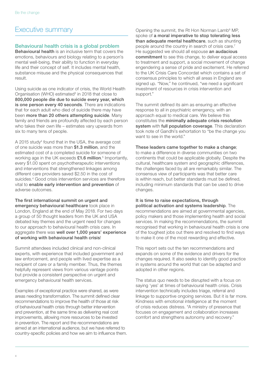### Executive summary

### Behavioural health crisis is a global problem

Behavioural health is an inclusive term that covers the emotions, behaviours and biology relating to a person's mental well-being, their ability to function in everyday life and their concept of self. It includes mental health, substance misuse and the physical consequences that result.

Using suicide as one indicator of crisis, the World Health Organisation (WHO) estimated<sup>3</sup> in 2018 that close to 800,000 people die due to suicide every year, which is one person every 40 seconds. There are indications that for each adult who died of suicide there may have been more than 20 others attempting suicide. Many family and friends are profoundly affected by each person who takes their own life – estimates vary upwards from six to many tens of people.

A 2015 study<sup>4</sup> found that in the USA, the average cost of one suicide was more than \$1.3 million, and the estimated cost of a completed suicide for someone of working age in the UK exceeds  $£1.6$  million.<sup>5</sup> Importantly, every \$1.00 spent on psychotherapeutic interventions and interventions that strengthened linkages among different care providers saved \$2.50 in the cost of suicides.4 Good crisis intervention services are therefore vital to enable early intervention and prevention of adverse outcomes.

The first international summit on urgent and emergency behavioural healthcare took place in London, England at the end of May 2018. For two days a group of 50 thought leaders from the UK and USA debated key themes and the urgent need for changes to our approach to behavioural health crisis care. In aggregate there was well over 1,000 years' experience of working with behavioural health crisis!

Summit attendees included clinical and non-clinical experts, with experience that included government and law enforcement, and people with lived expertise as a recipient of care or a family member. Thus, the themes helpfully represent views from various vantage points but provide a consistent perspective on urgent and emergency behavioural health services.

Examples of exceptional practice were shared, as were areas needing transformation. The summit defined clear recommendations to improve the health of those at risk of behavioural health crisis through better intervention and prevention, at the same time as delivering real cost improvements, allowing more resources to be invested in prevention. The report and the recommendations are aimed at an international audience, but we have referred to country-specific policies and how we aim to influence them.

Opening the summit, the Rt Hon Norman Lamb<sup>6</sup> MP, spoke of a moral imperative to stop tolerating less than adequate mental healthcare, such as shunting people around the country in search of crisis care.<sup>7</sup> He suggested we should all espouse an audacious commitment to see this change, to deliver equal access to treatment and support, a social movement of change engendering a sense of pride and excitement. He referred to the UK Crisis Care Concordat which contains a set of consensus principles to which all areas in England are signed up. "Now," he continued, "we need a significant investment of resources in crisis intervention and support."

The summit defined its aim as ensuring an effective response to all in psychiatric emergency, with an approach equal to medical care. We believe this constitutes the minimally adequate crisis resolution system with full population coverage. This declaration took note of Gandhi's exhortation to "be the change you want to see in the world."

#### These leaders came together to make a change;

to make a difference in diverse communities on two continents that could be applicable globally. Despite the cultural, healthcare system and geographic differences, the challenges faced by all are remarkably similar. The consensus view of participants was that better care is within reach, but better standards must be defined, including minimum standards that can be used to drive changes.

#### It is time to raise expectations, through political activation and systems leadership. The

recommendations are aimed at governmental agencies, policy makers and those implementing health and social services. In making the recommendations, the summit recognised that working in behavioural health crisis is one of the toughest jobs out there and resolved to find ways to make it one of the most rewarding and effective.

This report sets out the ten recommendations and expands on some of the evidence and drivers for the changes required. It also seeks to identify good practice in systems around the world that can be adapted and adopted in other regions.

The status quo needs to be disrupted with a focus on saying 'yes' at times of behavioural health crisis. Crisis intervention technically includes triage, referral and linkage to supportive ongoing services. But it is far more. Kindness with emotional intelligence at the moment of crisis reduces distress. "A ministry of presence that focuses on engagement and collaboration increases comfort and strengthens autonomy and recovery."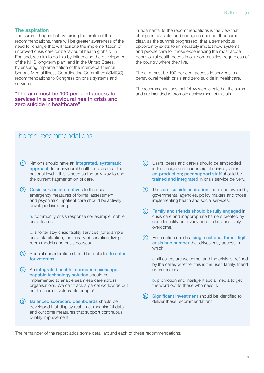### The aspiration

The summit hopes that by raising the profile of the recommendations, there will be greater awareness of the need for change that will facilitate the implementation of improved crisis care for behavioural health globally. In England, we aim to do this by influencing the development of the NHS long-term plan, and in the United States, by ensuring implementation of the Interdepartmental Serious Mental Illness Coordinating Committee (ISMICC) recommendations to Congress on crisis systems and services.

#### "The aim must be 100 per cent access to services in a behavioural health crisis and zero suicide in healthcare"

Fundamental to the recommendations is the view that change is possible, and change is needed. It became clear, as the summit progressed, that a tremendous opportunity exists to immediately impact how systems and people care for those experiencing the most acute behavioural health needs in our communities, regardless of the country where they live.

The aim must be 100 per cent access to services in a behavioural health crisis and zero suicide in healthcare.

The recommendations that follow were created at the summit and are intended to promote achievement of this aim.

### The ten recommendations

- 1) Nations should have an integrated, systematic approach to behavioural health crisis care at the national level – this is seen as the only way to end the current fragmentation of care.
- $\odot$ **Crisis service alternatives to the usual** emergency measures of formal assessment and psychiatric inpatient care should be actively developed including:

a. community crisis response (for example mobile crisis teams)

b. shorter stay crisis facility services (for example crisis stabilization, temporary observation, living room models and crisis houses).

- 3) Special consideration should be included to cater for veterans.
- 4 An integrated health information exchangecapable technology solution should be implemented to enable seamless care across organisations. We can track a parcel worldwide but not the care of vulnerable people!
- 5) Balanced scorecard dashboards should be developed that display real-time, meaningful data and outcome measures that support continuous quality improvement.
- 6 Users, peers and carers should be embedded in the design and leadership of crisis systems – co-production; peer support staff should be trained and integrated in crisis service delivery.
- 7) The zero-suicide aspiration should be owned by governmental agencies, policy makers and those implementing health and social services.
- Family and friends should be fully engaged in 8 crisis care and inappropriate barriers created by confidentiality or privacy need to be sensitively overcome.
- 9) Each nation needs a single national three-digit crisis hub number that drives easy access in which:

a. all callers are welcome, and the crisis is defined by the caller, whether this is the user, family, friend or professional

b. promotion and intelligent social media to get the word out to those who need it.

Significant investment should be identified to deliver these recommendations. 60

The remainder of the report adds some detail around each of these recommendations.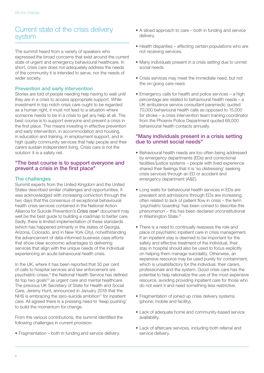### Current state of the crisis delivery system

The summit heard from a variety of speakers who expressed the broad concerns that exist around the current state of urgent and emergency behavioural healthcare. In short, crisis care does not adequately address the needs of the community it is intended to serve, nor the needs of wider society.

### Prevention and early intervention

Stories are told of people needing help having to wait until they are in a crisis to access appropriate support. While investment in top notch crisis care ought to be regarded as a human right, it must not lead to a situation where someone needs to be in a crisis to get any help at all. The best course is to support everyone and prevent a crisis in the first place. This means investing in effective prevention and early intervention, in accommodation and housing, in education and training, in employment support, and in high quality community services that help people and their carers sustain independent living. Crisis care is not the solution: it is a safety net.

### "The best course is to support everyone and prevent a crisis in the first place"

### The challenges

Summit experts from the United Kingdom and the United States described similar challenges and opportunities. It was acknowledged with increasing conviction through the two days that the consensus of exceptional behavioural health crisis services contained in the National Action Alliance for Suicide Prevention's *Crisis now*<sup>8</sup> document may well be the best quide to building a roadmap to better care. Sadly, there is limited implementation of these standards (which has happened primarily in the states of Georgia, Arizona, Colorado, and in New York City), notwithstanding the advancement of data-informed business case efforts that show clear economic advantages to delivering services that align with the unique needs of the individual experiencing an acute behavioural health crisis.

In the UK, where it has been reported that 30 per cent of calls to hospital services and law enforcement are psychiatric crises,<sup>9</sup> the National Health Service has defined its top two goals10 as urgent care and mental healthcare. The previous UK Secretary of State for Health and Social Care, Jeremy Hunt, announced in January 2018 that the NHS is embracing the zero-suicide ambition<sup>11</sup> for inpatient care. All agreed there is a pressing need to 'keep pushing' to build the momentum for change.

From the various contributions, the summit identified the following challenges in current provision:

• Fragmentation – both in funding and service delivery.

- A siloed approach to care both in funding and service delivery.
- Health disparities affecting certain populations who are not receiving services.
- Many individuals present in a crisis setting due to unmet social needs.
- Crisis services may meet the immediate need, but not the on-going care need.
- Emergency calls for health and police services a high percentage are related to behavioural health needs – a UK ambulance service consultant paramedic quoted 70,000 behavioural health calls as opposed to 15,000 for stroke – a crisis intervention team training coordinator from the Phoenix Police Department quoted 68,000 behavioural health contacts annually.

### "Many individuals present in a crisis setting due to unmet social needs"

- Behavioural health needs are too often being addressed by emergency departments (EDs) and correctional facilities/justice systems – people with lived experience shared their feelings that it is 'so distressing' seeking crisis services through an ED or accident and emergency department (A&E).
- Long waits for behavioural health services in EDs are prevalent and admissions through EDs are increasing, often related to lack of patient flow in crisis – the term 'psychiatric boarding' has been coined to describe this phenomenon – this has been declared unconstitutional in Washington State.<sup>12</sup>
- There is a need to continually reassess the role and place of psychiatric inpatient care in crisis management. If an inpatient stay is deemed to be important for the safety and effective treatment of the individual, their stay in hospital should also be used to focus explicitly on helping them manage suicidality. Otherwise, an expensive resource may be used purely for containment, which is unsatisfactory for the individual, their carers, professionals and the system. Good crisis care has the potential to help rationalize the use of the most expensive resource, avoiding providing inpatient care for those who do not want it and need something less restrictive.
- Fragmentation of joined up crisis delivery systems (phone, mobile and facility).
- Lack of adequate home and community-based service availability.
- Lack of aftercare services, including both referral and service delivery.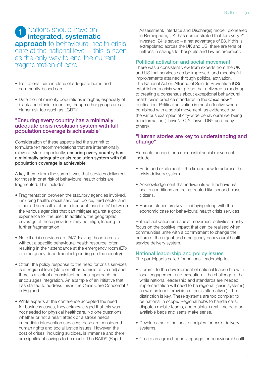#### Nations should have an integrated, systematic 1

**approach** to behavioural health crisis care at the national level – this is seen as the only way to end the current fragmentation of care

- Institutional care in place of adequate home and community-based care.
- Detention of minority populations is higher, especially of black and ethnic minorities, though other groups are at higher risk too (such as LGBT+).

### "Ensuring every country has a minimally adequate crisis resolution system with full population coverage is achievable"

Consideration of these aspects led the summit to formulate ten recommendations that are internationally relevant. More importantly, ensuring every country has a minimally adequate crisis resolution system with full population coverage is achievable.

A key theme from the summit was that services delivered for those in or at risk of behavioural health crisis are fragmented. This includes:

- Fragmentation between the statutory agencies involved, including health, social services, police, third sector and others. The result is often a frequent 'hand-offs' between the various agencies that can mitigate against a good experience for the user. In addition, the geographic coverage of these providers may not align, leading to further fragmentation
- Not all crisis services are 24/7, leaving those in crisis without a specific behavioural health resource, often resulting in their attendance at the emergency room (ER) or emergency department (depending on the country).
- Often, the policy response to the need for crisis services is at regional level (state or other administrative unit) and there is a lack of a consistent national approach that encourages integration. An example of an initiative that has started to address this is the Crisis Care Concordat<sup>13</sup> in England.
- While experts at the conference accepted the need for business cases, they acknowledged that this was not needed for physical healthcare. No one questions whether or not a heart attack or a stroke needs immediate intervention services; these are considered human rights and social justice issues. However, the cost of crises, including suicides, is immense and there are significant savings to be made. The RAID14 (Rapid

Assessment, Interface and Discharge) model, pioneered in Birmingham, UK, has demonstrated that for every £1 invested, £4 is saved – a net advantage of £3. If this is extrapolated across the UK and US, there are tens of millions in savings for hospitals and law enforcement.

### Political activation and social movement

There was a consistent view from experts from the UK and US that services can be improved, and meaningful improvements attained through political activation. The National Action Alliance of Suicide Prevention (US) established a crisis work group that delivered a roadmap to creating a consensus about exceptional behavioural health crisis practice standards in the *Crisis now*<sup>15</sup> publication. Political activation is most effective when combined with a social movement, as evidenced by the various examples of city-wide behavioural wellbeing transformation (ThriveNYC,<sup>16</sup> ThriveLDN<sup>17</sup> and many others).

### "Human stories are key to understanding and change"

Elements needed for a successful social movement include:

- Pride and excitement the time is now to address the crisis delivery system.
- Acknowledgement that individuals with behavioural health conditions are being treated like second-class citizens.
- Human stories are key to lobbying along with the economic case for behavioural health crisis services.

Political activation and social movement activities mostly focus on the positive impact that can be realised when communities unite with a commitment to change the culture of the urgent and emergency behavioural health service delivery system.

### National leadership and policy issues

The participants called for national leadership to:

- Commit to the development of national leadership with local engagement and execution – the challenge is that while national leadership and standards are needed. implementation will need to be regional (crisis systems) as well as local (provision of crisis alternatives). The distinction is key. These systems are too complex to be national in scope. Regional hubs to handle calls, dispatch mobile teams, and maintain real time data on available beds and seats make sense.
- Develop a set of national principles for crisis delivery systems.
- Create an agreed-upon language for behavioural health.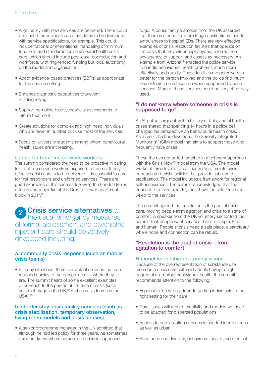- Align policy with how services are delivered. There could be a need for business case templates to be developed with service specifications, for example. This could include national or international mandating of minimum functions and standards for behavioural health crisis care, which should include post-care, coproduction and workforce, with ring-fenced funding but local autonomy on the model and organisation.
- Adopt evidence-based practices (EBPs) as appropriate for the service setting.
- Enhance diagnostic capabilities to prevent misdiagnosing.
- Support complete biopsychosocial assessments to inform treatment.
- Create solutions for complex and high need individuals who are fewer in number but use most of the services.
- Focus on university students among whom behavioural health issues are increasing.

#### Caring for front line services workers

The summit considered the need to be proactive in caring for front-line service workers exposed to trauma. If truly effective crisis care is to be delivered, it is essential to care for first responders and uniformed services. There are good examples of this such as following the London terror attacks and major fire at the Grenfell Tower apartment block in 2017.18

**Crisis service alternatives to** the usual emergency measures of formal assessment and psychiatric inpatient care should be actively developed including: 2

### a. community crisis response (such as mobile crisis teams)

• In many situations, there is a lack of services that can respond quickly to the person in crisis where they are. The summit heard of some excellent examples of outreach to the person at the time of crisis (such as street triage in the UK,19 mobile crisis teams in the USA).20

### b. shorter stay crisis facility services (such as crisis stabilisation, temporary observation, living room models and crisis houses)

• A senior programme manager in the UK admitted that although he had led policy for three years, he sometimes does not know where someone in crisis is supposed

to go. A consultant paramedic from the UK asserted that there is a need for more triage destinations than for ambulances to hospital EDs. There are very effective examples of crisis resolution facilities that operate on the basis that they will accept anyone, referred from any agency, to support and assess as necessary. An example from Arizona<sup>21</sup> enabled the police service to handle behavioural health problems much more effectively and rapidly. These facilities are perceived as better for the person involved and the police find much less of their time is taken up when supported by such services. More of these services could be very effectively used.

### "I do not know where someone in crisis is supposed to go"

A UK police sergeant with a history of behavioural health crises shared that spending 14 hours in a police cell changed his perspective on behavioural health crisis. As a result, he has developed the Serenity Integrated Monitoring<sup>22</sup> (SIM) model that aims to support those who frequently have crises.

These themes are pulled together in a coherent approach with the Crisis Now<sup>23</sup> model from the USA. The model works at three levels – a call centre hub, mobile crisis outreach and crisis facilities that provide sub-acute stabilisation. The model includes a framework for regional self-assessment. The summit acknowledged that the concept, like 'zero suicide', must have the solutions hardwired to the services.

The summit agreed that resolution is the goal of crisis care, moving people from agitation and crisis to a state of comfort. A speaker from the UK voluntary sector told the summit that people want services that are simple, kind and human. People in crisis need a safe place, a sanctuary where hope and connection can be rebuilt.

### "Resolution is the goal of crisis – from agitation to comfort"

#### National leadership and policy issues

Because of the overrepresentation of substance use disorder in crisis care, with individuals having a high degree of co-morbid behavioural health, the summit recommends attention to the following:

- Espouse a 'no wrong door' to getting individuals to the right setting for their care.
- Rural issues will require creativity and models will need to be adapted for dispersed populations.
- Access to detoxification services is needed in rural areas as well as urban.
- Substance use disorder, behavioural health and medical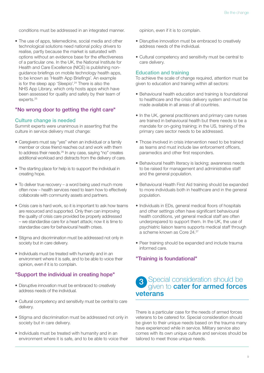conditions must be addressed in an integrated manner.

• The use of apps, telemedicine, social media and other technological solutions need national policy drivers to realise, partly because the market is saturated with options without an evidence base for the effectiveness of a particular one. In the UK, the National Institute for Health and Care Excellence (NICE) is publishing nonguidance briefings on mobile technology health apps, to be known as 'Health App Briefings'. An example is for the sleep app 'Sleepio'.<sup>24</sup> There is also the NHS App Library, which only hosts apps which have been assessed for quality and safety by their team of experts.<sup>25</sup>

### "No wrong door to getting the right care"

#### Culture change is needed

Summit experts were unanimous in asserting that the culture in service delivery must change:

- Caregivers must say "yes" when an individual or a family member or close friend reaches out and work with them to address their needs.26 In any case, saying "no" creates additional workload and distracts from the delivery of care.
- The starting place for help is to support the individual in creating hope.
- To deliver true recovery a word being used much more often now – health services need to learn how to effectively collaborate with community assets and partners.
- Crisis care is hard work, so it is important to ask how teams are resourced and supported. Only then can improving the quality of crisis care provided be properly addressed – we standardise care for a heart attack; now it is time to standardise care for behavioural health crises.
- Stigma and discrimination must be addressed not only in society but in care delivery.
- Individuals must be treated with humanity and in an environment where it is safe, and to be able to voice their opinion, even if it is to complain.

### "Support the individual in creating hope"

- Disruptive innovation must be embraced to creatively address needs of the individual.
- Cultural competency and sensitivity must be central to care delivery.
- Stigma and discrimination must be addressed not only in society but in care delivery.
- Individuals must be treated with humanity and in an environment where it is safe, and to be able to voice their

opinion, even if it is to complain.

- Disruptive innovation must be embraced to creatively address needs of the individual.
- Cultural competency and sensitivity must be central to care delivery.

#### Education and training

To achieve the scale of change required, attention must be given to education and training within all sectors:

- Behavioural health education and training is foundational to healthcare and the crisis delivery system and must be made available in all areas of all countries.
- In the UK, general practitioners and primary care nurses are trained in behavioural health but there needs to be a mandate for on-going training; in the US, training of the primary care sector needs to be addressed.
- Those involved in crisis intervention need to be trained as teams and must include law enforcement officers, paramedics and other first responders.
- Behavioural health literacy is lacking; awareness needs to be raised for management and administrative staff and the general population.
- Behavioural Health First Aid training should be expanded to more individuals both in healthcare and in the general population.
- Individuals in EDs, general medical floors of hospitals and other settings often have significant behavioural health conditions, yet general medical staff are often underprepared to support them. In the UK, the use of psychiatric liaison teams supports medical staff through a scheme known as Core 24.27
- Peer training should be expanded and include trauma informed care.

### "Training is foundational"

### Special consideration should be given to **cater for armed forces** veterans 3

There is a particular case for the needs of armed forces veterans to be catered for. Special consideration should be given to their unique needs based on the trauma many have experienced while in service. Military service also comes with its own unique culture and services should be tailored to meet those unique needs.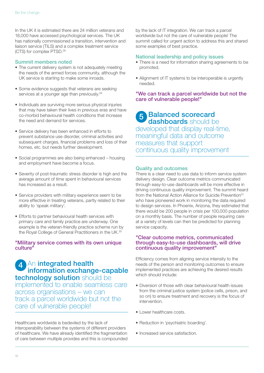In the UK it is estimated there are 24 million veterans and 18,000 have accessed psychological services. The UK has nationally commissioned a transition, intervention and liaison service (TILS) and a complex treatment service (CTS) for complex PTSD.28

#### Summit members noted

- The current delivery system is not adequately meeting the needs of the armed forces community, although the UK service is starting to make some inroads.
- Some evidence suggests that veterans are seeking services at a younger age than previously.<sup>29</sup>
- Individuals are surviving more serious physical injuries that may have taken their lives in previous eras and have co-morbid behavioural health conditions that increase the need and demand for services.
- Service delivery has been enhanced in efforts to prevent substance use disorder, criminal activities and subsequent charges, financial problems and loss of their homes, etc. but needs further development.
- Social programmes are also being enhanced housing and employment have become a focus.
- Severity of post-traumatic stress disorder is high and the average amount of time spent in behavioural services has increased as a result.
- Service providers with military experience seem to be more effective in treating veterans, partly related to their ability to 'speak military'.
- Efforts to partner behavioural health services with primary care and family practice are underway. One example is the veteran-friendly practice scheme run by the Royal College of General Practitioners in the UK.30

### "Military service comes with its own unique culture"

### 4<sup>An</sup> integrated health information exchange-capable technology solution should be

implemented to enable seamless care across organisations – we can track a parcel worldwide but not the care of vulnerable people!

Healthcare worldwide is bedeviled by the lack of interoperability between the systems of different providers of healthcare. We have already identified the fragmentation of care between multiple provides and this is compounded by the lack of IT integration. We can track a parcel worldwide but not the care of vulnerable people! The summit called for urgent action to address this and shared some examples of best practice.

#### National leadership and policy issues

- There is a need for information sharing agreements to be promoted.
- Alignment of IT systems to be interoperable is urgently needed.

### "We can track a parcel worldwide but not the care of vulnerable people!"

### 5 Balanced scorecard dashboards should be developed that display real-time, meaningful data and outcome measures that support continuous quality improvement

### Quality and outcomes

There is a clear need to use data to inform service system delivery design. Clear outcome metrics communicated through easy-to-use dashboards will be more effective in driving continuous quality improvement. The summit heard from the National Action Alliance for Suicide Prevention<sup>31</sup> who have pioneered work in monitoring the data required to design services. In Phoenix, Arizona, they estimated that there would be 200 people in crisis per 100,000 population on a monthly basis. The number of people requiring care at a variety of levels can then be predicted for planning service capacity.

### "Clear outcome metrics, communicated through easy-to-use dashboards, will drive continuous quality improvement"

Efficiency comes from aligning service intensity to the needs of the person and monitoring outcomes to ensure implemented practices are achieving the desired results which should include:

- Diversion of those with clear behavioural health issues from the criminal justice system (police cells, prison, and so on) to ensure treatment and recovery is the focus of intervention.
- Lower healthcare costs.
- Reduction in 'psychiatric boarding'.
- Increased service satisfaction.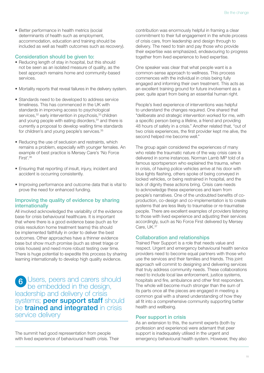• Better performance in health metrics (social determinants of health such as employment, accommodation, education and training should be included as well as health outcomes such as recovery).

#### Consideration should be given to:

- Reducing length of stay in hospital, but this should not be seen as an isolated measure of quality, as the best approach remains home and community-based services.
- Mortality reports that reveal failures in the delivery system.
- Standards need to be developed to address service timeliness. This has commenced in the UK with standards in improving access to psychological services,<sup>32</sup> early intervention in psychosis,<sup>33</sup> children and young people with eating disorders,<sup>34</sup> and there is currently a proposal to develop waiting time standards for children's and young people's services.<sup>35</sup>
- Reducing the use of seclusion and restraints, which remains a problem, especially with younger females. An example of best practice is Mersey Care's 'No Force First'.36
- Ensuring that reporting of insult, injury, incident and accident is occurring consistently.
- Improving performance and outcome data that is vital to prove the need for enhanced funding.

### Improving the quality of evidence by sharing internationally

All involved acknowledged the variability of the evidence base for crisis behavioural healthcare. It is important that where there is a good evidence base (such as for crisis resolution home treatment teams) this should be implemented faithfully in order to deliver the best outcomes. Other approaches have a thinner evidence base but show much promise (such as street triage or crisis houses) and need more robust testing over time. There is huge potential to expedite this process by sharing learning internationally to develop high quality evidence.

Users, peers and carers should be embedded in the design, leadership and delivery of crisis systems; **peer support staff** should be **trained and integrated** in crisis service delivery 6

The summit had good representation from people with lived experience of behavioural health crisis. Their contribution was enormously helpful in framing a clear commitment to their full engagement in the whole process of crisis care, from leadership and design through to delivery. The need to train and pay those who provide their expertise was emphasized, endeavouring to progress together from lived experience to lived expertise.

One speaker was clear that what people want is a common-sense approach to wellness. This process commences with the individual in crisis being fully engaged and informing their own treatment. This acts as an excellent training ground for future involvement as a peer, quite apart from being an essential human right.

People's lived experience of interventions was helpful to understand the changes required. One shared that "deliberate and strategic intervention worked for me, with a specific person being a lifeline, a friend and providing 48 hours of safety in a crisis." Another related that, "out of two crisis experiences, the first provider kept me alive, the second helped me become well."

The group again considered the experiences of many who relate the traumatic nature of the way crisis care is delivered in some instances. Norman Lamb MP told of a famous sportsperson who explained the trauma, when in crisis, of having police vehicles arrive at his door with blue lights flashing, others spoke of being conveyed in locked vehicles, or being restrained in hospital, and the lack of dignity these actions bring. Crisis care needs to acknowledge these experiences and learn from people's narratives. One of the undoubted benefits of coproduction, co-design and co-implementation is to create systems that are less likely to traumatise or re-traumatise people. There are excellent examples of providers listening to those with lived experience and adjusting their services accordingly, such as No Force First delivered by Mersey Care, UK.37

### Collaboration and relationships

Trained Peer Support is a role that needs value and respect. Urgent and emergency behavioural health service providers need to become equal partners with those who use the services and their families and friends. This joint approach will commit to designing and delivering services that truly address community needs. These collaborations need to include local law enforcement, justice systems, hospitals and fire, ambulance and other first responders. The whole will become much stronger than the sum of its parts once all the pieces are engaged in meeting a common goal with a shared understanding of how they all fit into a comprehensive community supporting better health and wellbeing.

#### Peer support in crisis

As an extension to this, the summit experts (both by profession and experience) were adamant that peer support is inadequately utilised in the urgent and emergency behavioural health system. However, they also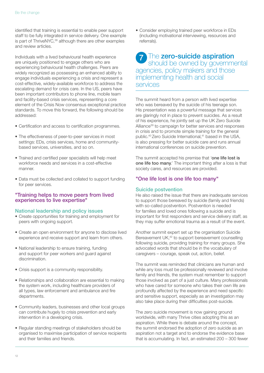identified that training is essential to enable peer support staff to be fully integrated in service delivery. One example is part of ThriveNYC,<sup>38</sup> although there are other examples and review articles.

Individuals with a lived behavioural health experience are uniquely positioned to engage others who are experiencing behavioural health challenges. Peers are widely recognized as possessing an enhanced ability to engage individuals experiencing a crisis and represent a cost-effective, widely-available workforce to address the escalating demand for crisis care. In the US, peers have been important contributors to phone line, mobile team and facility-based crisis services, representing a core element of the Crisis Now consensus exceptional practice standards. To move this forward, the following should be addressed:

- Certification and access to certification programmes.
- The effectiveness of peer-to-peer services in most settings: EDs, crisis services, home and communitybased services, universities, and so on.
- Trained and certified peer specialists will help meet workforce needs and services in a cost-effective manner.
- Data must be collected and collated to support funding for peer services.

### "Training helps to move peers from lived experiences to live expertise"

### National leadership and policy issues

- Create opportunities for training and employment for peers with ongoing support.
- Create an open environment for anyone to disclose lived experience and receive support and learn from others.
- National leadership to ensure training, funding and support for peer workers and guard against discrimination.
- Crisis support is a community responsibility.
- Relationships and collaboration are essential to making the system work, including healthcare providers of all types, law enforcement and ambulance and fire departments.
- Community leaders, businesses and other local groups can contribute hugely to crisis prevention and early intervention in a developing crisis.
- Regular standing meetings of stakeholders should be organised to maximise participation of service recipients and their families and friends.

• Consider employing trained peer workforce in EDs (including motivational interviewing, resources and referrals).

### 7 The zero-suicide aspiration should be owned by governmental agencies, policy makers and those implementing health and social services

The summit heard from a person with lived expertise who was bereaved by the suicide of his teenage son. His presentation was a powerful message that services are glaringly not in place to prevent suicides. As a result of his experience, he jointly set up the UK Zero Suicide Alliance<sup>39</sup> to campaign for better services and responses in crisis and to promote simple training for the general public.<sup>40</sup> Zero Suicide International,<sup>41</sup> based in the USA, is also pressing for better suicide care and runs annual international conferences on suicide prevention.

The summit accepted his premise that 'one life lost is one life too many.' The important thing after a loss is that society cares, and resources are provided.

### "One life lost is one life too many"

### Suicide postvention

He also raised the issue that there are inadequate services to support those bereaved by suicide (family and friends) with so-called postvention. Postvention is needed for families and loved ones following a suicide and is important for first responders and service delivery staff, as they may suffer emotional trauma as a result of the event.

Another summit expert set up the organisation Suicide Bereavement UK,<sup>42</sup> to support bereavement counselling following suicide, providing training for many groups. She advocated words that should be in the vocabulary of caregivers – courage, speak out, action, belief.

The summit was reminded that clinicians are human and while any loss must be professionally reviewed and involve family and friends, the system must remember to support those involved as part of a just culture. Many professionals who have cared for someone who takes their own life are profoundly affected by the experience and need specific and sensitive support, especially as an investigation may also take place during their difficulties post-suicide.

The zero suicide movement is now gaining ground worldwide, with many Thrive cities adopting this as an aspiration. While there is debate around the concept, the summit endorsed the adoption of zero suicide as an aspiration not a target and to endorse the evidence base that is accumulating. In fact, an estimated 200 – 300 fewer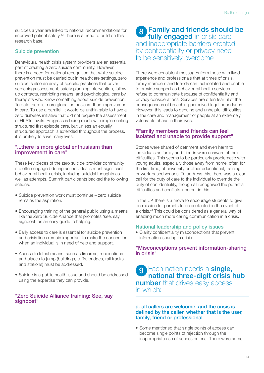suicides a year are linked to national recommendations for improved patient safety.<sup>43</sup> There is a need to build on this research base.

### Suicide prevention

Behavioural health crisis system providers are an essential part of creating a zero suicide community. However, there is a need for national recognition that while suicide prevention must be carried out in healthcare settings, zero suicide is also an array of specific practices that cover screening/assessment, safety planning intervention, followup contacts, restricting means, and psychological care by therapists who know something about suicide prevention. To date there is more global enthusiasm than improvement in care. To use a parallel, it would be unthinkable to have a zero diabetes initiative that did not require the assessment of HbA1c levels. Progress is being made with implementing structured first episode care, but unless an equally structured approach is extended throughout the process, it is unlikely to save many lives.

### "...there is more global enthusiasm than improvement in care"

These key pieces of the zero suicide provider community are often engaged during an individual's most significant behavioural health crisis, including suicidal thoughts as well as attempts. Summit participants backed the following actions:

- Suicide prevention work must continue zero suicide remains the aspiration.
- Encouraging training of the general public using a means like the Zero Suicide Alliance that promotes 'see, say, signpost' as an easy guide to helping.
- Early access to care is essential for suicide prevention and crisis lines remain important to make the connection when an individual is in need of help and support.
- Access to lethal means, such as firearms, medications and places to jump (buildings, cliffs, bridges, rail tracks and stations) must be addressed.
- Suicide is a public health issue and should be addressed using the expertise they can provide.

### "Zero Suicide Alliance training: See, say signpost"

### 8 Family and friends should be fully engaged in crisis care and inappropriate barriers created by confidentiality or privacy need to be sensitively overcome

There were consistent messages from those with lived experience and professionals that at times of crisis, family members and friends can feel isolated and unable to provide support as behavioural health services refuse to communicate because of confidentiality and privacy considerations. Services are often fearful of the consequences of breaching perceived legal boundaries. However, this leads to genuine and unhelpful difficulties in the care and management of people at an extremely vulnerable phase in their lives.

### "Family members and friends can feel isolated and unable to provide support"

Stories were shared of detriment and even harm to individuals as family and friends were unaware of their difficulties. This seems to be particularly problematic with young adults, especially those away from home, often for the first time, at university or other educational, training or work-based venues. To address this, there was a clear call for the duty of care to the individual to override the duty of confidentiality, though all recognised the potential difficulties and conflicts inherent in this.

In the UK there is a move to encourage students to give permission for parents to be contacted in the event of a crisis.44 This could be considered as a general way of enabling much more caring communication in a crisis.

### National leadership and policy issues

• Clarify confidentiality misconceptions that prevent information-sharing in crisis.

### "Misconceptions prevent information-sharing in crisis"

9 Each nation needs a single, national three-digit crisis hub **number** that drives easy access in which:

### a. all callers are welcome, and the crisis is defined by the caller, whether that is the user, family, friend or professional

• Some mentioned that single points of access can become single points of rejection through the inappropriate use of access criteria. There were some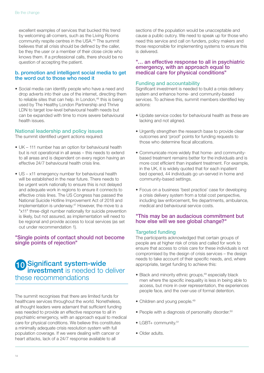excellent examples of services that bucked this trend by welcoming all-comers, such as the Living Rooms community respite centres in the USA.45 The summit believes that all crisis should be defined by the caller, be they the user or a member of their close circle who knows them. If a professional calls, there should be no question of accepting the patient.

### b. promotion and intelligent social media to get the word out to those who need it

• Social media can identify people who have a need and drop adverts into their use of the internet, directing them to reliable sites that can help. In London,<sup>46</sup> this is being used by The Healthy London Partnership and Thrive LDN to target low-level behavioural health needs but can be expanded with time to more severe behavioural health issues.

#### National leadership and policy issues

The summit identified urgent actions required:

- UK 111 number has an option for behavioural health but is not operational in all areas – this needs to extend to all areas and is dependent on every region having an effective 24/7 behavioural health crisis line.
- US x11 emergency number for behavioural health will be established in the near future. There needs to be urgent work nationally to ensure this is not delayed and adequate work in regions to ensure it connects to effective crisis lines. The US Congress has passed the National Suicide Hotline Improvement Act of 2018 and implementation is underway.<sup>47</sup> However, the move to a "x11" three-digit number nationally for suicide prevention is likely, but not assured, as implementation will need to be regional and provide access to local services (as set out under recommendation 1).

### "Single points of contact should not become single points of rejection"

### 10 Significant system-wide investment is needed to deliver these recommendations

The summit recognises that there are limited funds for healthcare services throughout the world. Nonetheless, all thought leaders were adamant that sufficient funding was needed to provide an effective response to all in psychiatric emergency, with an approach equal to medical care for physical conditions. We believe this constitutes a minimally adequate crisis resolution system with full population coverage. If we were dealing with cancer or heart attacks, lack of a 24/7 response available to all

sections of the population would be unacceptable and cause a public outcry. We need to speak up for those who need this service and call on funders, policy makers and those responsible for implementing systems to ensure this is delivered.

### "… an effective response to all in psychiatric emergency, with an approach equal to medical care for physical conditions"

### Funding and accountability

Significant investment is needed to build a crisis delivery system and enhance home- and community-based services. To achieve this, summit members identified key actions:

- Update service codes for behavioural health as these are lacking and not aligned.
- Urgently strengthen the research base to provide clear outcomes and 'proof' points for funding requests to those who determine fiscal allocations.
- Communicate more widely that home- and communitybased treatment remains better for the individuals and is more cost efficient than inpatient treatment. For example, in the UK, it is widely quoted that for each inpatient bed opened, 44 individuals go un-served in home and community-based settings.
- Focus on a business 'best practice' case for developing a crisis delivery system from a total cost perspective, including law enforcement, fire departments, ambulance, medical and behavioural service costs.

### "This may be an audacious commitment but how else will we see global change?"

### Targeted funding

The participants acknowledged that certain groups of people are at higher risk of crisis and called for work to ensure that access to crisis care for these individuals is not compromised by the design of crisis services – the design needs to take account of their specific needs, and, where appropriate, target funding to achieve this:

- Black and minority ethnic groups,<sup>48</sup> especially black men where the specific inequality is less in being able to access, but more in over representation, the experiences people face, and the over-use of formal detention.
- Children and young people.<sup>49</sup>
- People with a diagnosis of personality disorder.<sup>50</sup>
- LGBT+ community.<sup>51</sup>
- Older adults.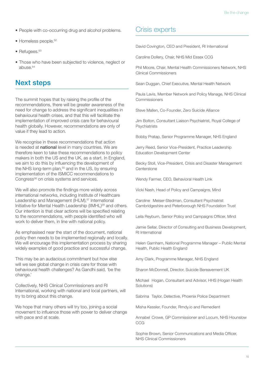- People with co-occurring drug and alcohol problems.
- Homeless people.<sup>52</sup>
- $\bullet$  Refugees. $53$
- Those who have been subjected to violence, neglect or abuse $54$

### Next steps

The summit hopes that by raising the profile of the recommendations, there will be greater awareness of the need for change to address the significant inequalities in behavioural health crises, and that this will facilitate the implementation of improved crisis care for behavioural health globally. However, recommendations are only of value if they lead to action.

We recognise in these recommendations that action is needed at national level in many countries. We are therefore keen to take these recommendations to policy makers in both the US and the UK, as a start. In England, we aim to do this by influencing the development of the NHS long-term plan,<sup>55</sup> and in the US, by ensuring implementation of the ISMICC recommendations to Congress<sup>56</sup> on crisis systems and services.

We will also promote the findings more widely across international networks, including Institute of Healthcare Leadership and Management (IHLM),<sup>57</sup> International Initiative for Mental Health Leadership (IIMHL)<sup>58</sup> and others. Our intention is that clear actions will be specified relating to the recommendations, with people identified who will work to deliver them, in line with national policy.

As emphasised near the start of the document, national policy then needs to be implemented regionally and locally. We will encourage this implementation process by sharing widely examples of good practice and successful change.

This may be an audacious commitment but how else will we see global change in crisis care for those with behavioural health challenges? As Gandhi said, 'be the change.'

Collectively, NHS Clinical Commissioners and RI International, working with national and local partners, will try to bring about this change.

We hope that many others will try too, joining a social movement to influence those with power to deliver change with pace and at scale.

### Crisis experts

David Covington, CEO and President, RI International

Caroline Dollery, Chair, NHS Mid Essex CCG

Phil Moore, Chair, Mental Health Commissioners Network, NHS Clinical Commissioners

Sean Duggan, Chief Executive, Mental Health Network

Paula Lavis, Member Network and Policy Manage, NHS Clinical Commissioners

Steve Mallen, Co-Founder, Zero Suicide Alliance

Jim Bolton, Consultant Liaison Psychiatrist, Royal College of **Psychiatrists** 

Bobby Pratap, Senior Programme Manager, NHS England

Jerry Reed, Senior Vice-President, Practice Leadership Education Development Center

Becky Stoll, Vice-President, Crisis and Disaster Management Centerstone

Wendy Farmer, CEO, Behavioral Health Link

Vicki Nash, Head of Policy and Campaigns, Mind

Caroline Meiser-Stedman, Consultant Psychiatrist Cambridgeshire and Peterborough NHS Foundation Trust

Leila Reyburn, Senior Policy and Campaigns Officer, Mind

Jamie Sellar, Director of Consulting and Business Development, RI International

Helen Garnham, National Programme Manager – Public Mental Health, Public Health England

Amy Clark, Programme Manager, NHS England

Sharon McDonnell, Director, Suicide Bereavement UK

Michael Hogan, Consultant and Advisor, HHS (Hogan Health Solutions)

Sabrina Taylor, Detective, Phoenix Police Department

Misha Kessler, Founder, Rmdy.io and Remedient

Annabel Crowe, GP Commissioner and Locum, NHS Hounslow **CCG** 

Sophie Brown, Senior Communications and Media Officer, NHS Clinical Commissioners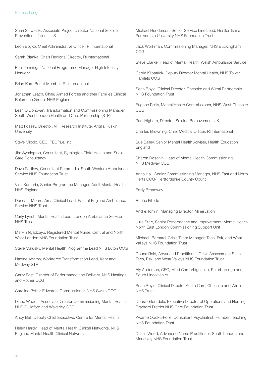Shari Sinwelski, Associate Project Director National Suicide Prevention Lifeline – US

Leon Boyko, Chief Administrative Officer, RI International

Sarah Blanka, Crisis Regional Director, RI International

Paul Jennings, National Programme Manager High Intensity Network

Brian Karr, Board Member, RI International

Jonathan Leach, Chair, Armed Forces and their Families Clinical Reference Group NHS England

Leah O'Donovan, Transformation and Commissioning Manager South West London Health and Care Partnership (STP)

Matt Fossey, Director, VFI Research Institute, Anglia Ruskin **University** 

Steve Miccio, CEO, PEOPLe, Inc

Jim Symington, Consultant, Symington-Tinto Health and Social Care Consultancy

Dave Partlow, Consultant Paramedic, South Western Ambulance Service NHS Foundation Trust

Viral Kantaria, Senior Programme Manager, Adult Mental Health NHS England

Duncan Moore, Area Clinical Lead, East of England Ambulance Service NHS Trust

Carly Lynch, Mental Health Lead, London Ambulance Service NHS Trust

Marvin Nyadzayo, Registered Mental Nurse, Central and North West London NHS Foundation Trust

Steve Malusky, Mental Health Programme Lead NHS Luton CCG

Nadine Adams, Workforce Transformation Lead, Kent and Medway STP

Garry East, Director of Performance and Delivery, NHS Hastings and Rother CCG

Caroline Potter-Edwards, Commissioner, NHS Swale CCG

Diane Woods, Associate Director Commissioning Mental Health, NHS Guildford and Waverley CCG

Andy Bell, Deputy Chief Executive, Centre for Mental Health

Helen Hardy, Head of Mental Health Clinical Networks, NHS England Mental Health Clinical Network

Michael Henderson, Senior Service Line Lead, Hertfordshire Partnership University NHS Foundation Trust

Jack Workman, Commissioning Manager, NHS Buckingham CCG

Steve Clarke, Head of Mental Health, Welsh Ambulance Service

Carrie Kilpatrick, Deputy Director Mental Health, NHS Tower Hamlets CCG

Sean Boyle, Clinical Director, Cheshire and Wirral Partnership NHS Foundation Trust

Eugene Reilly, Mental Health Commissioner, NHS West Cheshire CCG

Paul Higham, Director, Suicide Bereavement UK

Charles Browning, Chief Medical Officer, RI International

Sue Bailey, Senior Mental Health Adviser, Health Education England

Sharon Dosanjh, Head of Mental Health Commissioning, NHS Medway CCG

Anna Hall, Senior Commissioning Manager, NHS East and North Herts CCG/ Hertfordshire County Council

Eddy Broadway

Renée Fillette

Andre Tomlin, Managing Director, Minervation

Julie Starr, Senior Performance and Improvement, Mental Health North East London Commissioning Support Unit

Michael Bernard, Crisis Team Manager, Tees, Esk, and Wear Valleys NHS Foundation Trust

Donna Reid, Advanced Practitioner, Crisis Assessment Suite Tees, Esk, and Wear Valleys NHS Foundation Trust

Aly Anderson, CEO, Mind Cambridgeshire, Peterborough and South Lincolnshire

Sean Boyle, Clinical Director Acute Care, Cheshire and Wirral NHS Trust

Debra Gilderdale, Executive Director of Operations and Nursing, Bradford District NHS Care Foundation Trust

Kwame Opoku-Fofie, Consultant Psychiatrist, Humber Teaching NHS Foundation Trust

Dulcie Wood, Advanced Nurse Practitioner, South London and Maudsley NHS Foundation Trust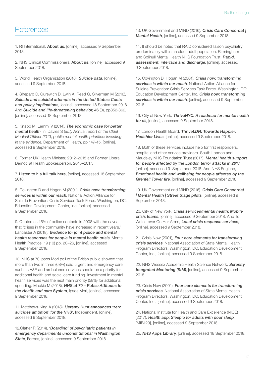### **References**

1. RI International, [About us](https://riinternational.com/about-us/), [online], accessed 9 September 2018.

2. NHS Clinical Commissioners, [About us](https://www.nhscc.org/about-us/), [online], accessed 9 September 2018.

3. World Health Organization (2018), [Suicide](http://www.who.int/mental_health/prevention/suicide/suicideprevent/en/) data, [online], accessed 9 September 2018.

4. Shepard D, Gurewich D, Lwin A, Reed G, Silverman M (2016), [Suicide and suicidal attempts in the United States: Costs](https://onlinelibrary.wiley.com/doi/abs/10.1111/sltb.12225)  [and policy implications](https://onlinelibrary.wiley.com/doi/abs/10.1111/sltb.12225), [online], accessed 18 September 2018. And [Suicide and life-threatening behavior](https://onlinelibrary.wiley.com/doi/abs/10.1111/sltb.12225), 46 (3), pp352-362, [online], accessed 18 September 2018.

5. Knapp M, Lemmi V (2014), [The economic case for better](http://eprints.lse.ac.uk/59520/1/__lse.ac.uk_storage_LIBRARY_Secondary_libfile_shared_repository_Content_Knapp%2C%20M_Economic%20case_Knapp_Economic%20case_2014.pdf)  [mental health](http://eprints.lse.ac.uk/59520/1/__lse.ac.uk_storage_LIBRARY_Secondary_libfile_shared_repository_Content_Knapp%2C%20M_Economic%20case_Knapp_Economic%20case_2014.pdf), in: Davies S (ed.), Annual report of the Chief Medical Officer 2013, public mental health priorities: investing in the evidence, Department of Health, pp 147–15, [online], accessed 9 September 2018.

6. Former UK Health Minister, 2012–2015 and Former Liberal Democrat Health Spokesperson, 2015–2017.

7. [Listen to his full talk here](https://www.youtube.com/watch?v=6qP7pULJQsE), [online], accessed 18 September 2018.

8. Covington D and Hogan M (2001), Crisis now: transforming [services is within our reach](https://actionallianceforsuicideprevention.org/sites/actionallianceforsuicideprevention.org/files/CrisisNow.pdf), National Action Alliance for Suicide Prevention: Crisis Services Task Force. Washington, DC: Education Development Center, Inc, [online], accessed 9 September 2018.

9. Quoted as 15% of police contacts in 2008 with the caveat that 'crises in the community have increased in recent years.' Lancaster A (2018), [Evidence for joint police and mental](https://www.crisiscareconcordat.org.uk/wp-content/uploads/2016/07/Triage-evidence-2016.pdf)  [health responses for people in mental health crisis](https://www.crisiscareconcordat.org.uk/wp-content/uploads/2016/07/Triage-evidence-2016.pdf), Mental Health Practice, 19 (10) pp. 20–26, [online], accessed 9 September 2018.

10. NHS at 70 Ipsos Mori poll of the British public showed that more than two in three (68%) said urgent and emergency care such as A&E and ambulance services should be a priority for additional health and social care funding. Investment in mental health services was the next main priority (58%) for additional spending. Mackie M (2018), NHS at 70 - Public Attitudes to [the Health and care System](https://www.ipsos.com/ipsos-mori/en-uk/nhs-70-public-attitudes-health-and-care-system), Ipsos Mori, [online], accessed 9 September 2018.

11. Matthews-King A (2018), 'Jeremy Hunt announces 'zero [suicides ambition' for the NHS'](https://www.independent.co.uk/news/health/nhs-suicide-mental-health-jeremy-hunt-deaths-hospitals-trusts-a8186031.html), Independent, [online], accessed 9 September 2018.

12. Glatter R (2014), 'Boarding' of psychiatric patients in emergency departments unconstitutional in Washington State, Forbes, [online], accessed 9 September 2018.

13. UK Government and MIND (2016), Crisis Care Concordat | Mental Health, [online], accessed 9 September 2018.

14. It should be noted that RAID considered liaison psychiatry predominately within an older adult population. Birmingham and Solihull Mental Health NHS Foundation Trust, Rapid, [assessment, interface and discharge](https://www.bsmhft.nhs.uk/our-services/urgent-care/rapid-assessment-interface-and-discharge/), [online], accessed 9 September 2018.

15. Covington D, Hogan M (2001), Crisis now: transforming [services is within our reach](https://theactionalliance.org/). National Action Alliance for Suicide Prevention: Crisis Services Task Force. Washington, DC: Education Development Center, Inc. [Crisis now: transforming](https://theactionalliance.org/)  [services is within our reach](https://theactionalliance.org/), [online], accessed 9 September 2018.

16. City of New York, [ThriveNYC: A roadmap for mental health](https://thrivenyc.cityofnewyork.us/) [for all](https://thrivenyc.cityofnewyork.us/), [online], accessed 9 September 2018.

17. London Health Board, ThriveLDN: Towards Happier, [Healthier Lives](https://www.thriveldn.co.uk/), [online], accessed 9 September 2018.

18. Both of these services include help for first responders, hospital and other service providers. South London and Maudsley NHS Foundation Trust (2017), [Mental health support](https://www.slam.nhs.uk/our-services/type-of-service/support-for-people-affected-by-london-terror-attacks)  [for people affected by the London terror attacks in 2017](https://www.slam.nhs.uk/our-services/type-of-service/support-for-people-affected-by-london-terror-attacks), [online], accessed 9 September 2018. And NHS England, [Emotional health and wellbeing for people affected by the](https://www.grenfell.nhs.uk/emotional-health-and-wellbeing)  [Grenfell Tower fire](https://www.grenfell.nhs.uk/emotional-health-and-wellbeing), [online], accessed 9 September 2018.

19. UK Government and MIND (2016). [Crisis Care Concordat](https://www.crisiscareconcordat.org.uk/inspiration/get-inspired-2/)  [| Mental Health | Street triage pilots](https://www.crisiscareconcordat.org.uk/inspiration/get-inspired-2/), [online], accessed 9 September 2018.

20. City of New York, [Crisis services/mental health: Mobile](https://www1.nyc.gov/site/doh/health/health-topics/crisis-emergency-services-mobile-crisis-teams.page)  [crisis teams](https://www1.nyc.gov/site/doh/health/health-topics/crisis-emergency-services-mobile-crisis-teams.page), [online], accessed 9 September 2018. And To Write Lover On Her Arms, **[Local crisis response services](https://twloha.com/local-resources/arizona/phoenix/)**, [online], accessed 9 September 2018.

21. Crisis Now (2001), [Four core elements for transforming](http://crisisnow.com/)  [crisis services](http://crisisnow.com/), National Association of State Mental Health Program Directors, Washington, DC: Education Development Center, Inc., [online], accessed 9 September 2018.

22. NHS Wessex Academic Health Science Network, Serenity [Integrated Mentoring \(SIM\)](http://wessexahsn.org.uk/projects/128/serenity-integrated-mentoring-sim), [online], accessed 9 September 2018.

23. Crisis Now (2001). Four core elements for transforming [crisis services](http://crisisnow.com/), National Association of State Mental Health Program Directors, Washington, DC: Education Development Center, Inc., [online], accessed 9 September 2018.

24. National Institute for Health and Care Excellence (NICE) (2017), [Health app: Sleepio for adults with poor sleep](https://www.nice.org.uk/advice/mib129), [MIB129], [online], accessed 9 September 2018.

25. [NHS Apps Library](https://digital.nhs.uk/services/nhs-apps-library), [online], accessed 18 September 2018.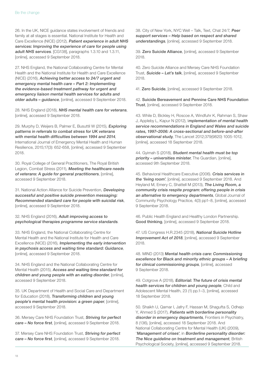26. In the UK, NICE guidance states involvement of friends and family at all stages is essential. National Institute for Health and Care Excellence (NICE) (2012), [Patient experience in adult NHS](https://www.nice.org.uk/guidance/cg138/chapter/1-guidance) [services: Improving the experience of care for people using](https://www.nice.org.uk/guidance/cg138/chapter/1-guidance)  [adult NHS services](https://www.nice.org.uk/guidance/cg138/chapter/1-guidance). [CG138], paragraphs 1.3.10 and 1.3.11, [online], accessed 9 September 2018.

27. NHS England, the National Collaborating Centre for Mental Health and the National Institute for Health and Care Excellence (NICE) (2016), [Achieving better access to 24/7 urgent and](https://www.england.nhs.uk/wp-content/uploads/2016/11/lmhs-guidance.pdf)  [emergency mental health care – Part 2: Implementing](https://www.england.nhs.uk/wp-content/uploads/2016/11/lmhs-guidance.pdf)  [the evidence-based treatment pathway for urgent and](https://www.england.nhs.uk/wp-content/uploads/2016/11/lmhs-guidance.pdf)  [emergency liaison mental health services for adults and](https://www.england.nhs.uk/wp-content/uploads/2016/11/lmhs-guidance.pdf)  [older adults – guidance](https://www.england.nhs.uk/wp-content/uploads/2016/11/lmhs-guidance.pdf), [online], accessed 9 September 2018.

28. NHS England (2018), [NHS mental health care for veterans](https://www.nhs.uk/NHSEngland/Militaryhealthcare/veterans-families-reservists/Documents/673_NHS%20Veterans%27%20Mental%20Health%20leaflet%20S17%20Online.pdf), [online], accessed 9 September 2018.

29. Murphy D, Weijers B, Palmer E, Busuttil W (2015), Exploring [patterns in referrals to combat stress for UK veterans](https://www.kcl.ac.uk/kcmhr/publications/assetfiles/2015/Murphy2015b.pdf)  [with mental health difficulties between 1994 and 2014](https://www.kcl.ac.uk/kcmhr/publications/assetfiles/2015/Murphy2015b.pdf), International Journal of Emergency Mental Health and Human Resilience, 2015;17(3): 652-658, [online], accessed 9 September 2018.

30. Royal College of General Practitioners, The Royal British Legion, Combat Stress (2011), [Meeting the healthcare needs](http://www.rcgp.org.uk/policy/rcgp-policy-areas/veterans-healthcare-needs.aspx)  [of veterans: A guide for general practitioners](http://www.rcgp.org.uk/policy/rcgp-policy-areas/veterans-healthcare-needs.aspx), [online], accessed 9 September 2018.

31. National Action Alliance for Suicide Prevention, Developing [successful and positive suicide prevention messaging:](http://actionallianceforsuicideprevention.org/home)  [Recommended standard care for people with suicidal risk](http://actionallianceforsuicideprevention.org/home), [online], accessed 9 September 2018.

32. NHS England (2016), [Adult improving access to](https://www.england.nhs.uk/mental-health/adults/iapt/service-standards/)  [psychological therapies programme service standards](https://www.england.nhs.uk/mental-health/adults/iapt/service-standards/).

33. NHS England, the National Collaborating Centre for Mental Health and the National Institute for Health and Care Excellence (NICE) (2016), [Implementing the early intervention](https://www.england.nhs.uk/mentalhealth/wp-content/uploads/sites/29/2016/04/eip-guidance.pdf)  [in psychosis access and waiting time standard: Guidance](https://www.england.nhs.uk/mentalhealth/wp-content/uploads/sites/29/2016/04/eip-guidance.pdf), [online], accessed 9 September 2018.

34. NHS England and the National Collaborating Centre for Mental Health (2015), [Access and waiting time standard for](https://www.england.nhs.uk/wp-content/uploads/2015/07/cyp-eating-disorders-access-waiting-time-standard-comm-guid.pdf)  children and voung people with an eating disorder, [online], accessed 9 September 2018.

35. UK Department of Health and Social Care and Department for Education (2018), Transforming children and young [people's mental health provision: a green paper](https://www.gov.uk/government/consultations/transforming-children-and-young-peoples-mental-health-provision-a-green-paper), [online], accessed 9 September 2018.

36. Mersey Care NHS Foundation Trust, Striving for perfect [care – No force first](https://www.merseycare.nhs.uk/about-us/striving-for-perfect-care/no-force-first/), [online], accessed 9 September 2018.

37. Mersey Care NHS Foundation Trust. Striving for perfect [care – No force first](https://www.merseycare.nhs.uk/about-us/striving-for-perfect-care/no-force-first/), [online], accessed 9 September 2018.

38. City of New York, NYC Well – Talk, Text, Chat 24/7, [Peer](https://nycwell.cityofnewyork.us/en/peer-support/)  [support services – Help based on respect and shared](https://nycwell.cityofnewyork.us/en/peer-support/)  [understandings](https://nycwell.cityofnewyork.us/en/peer-support/), [online], accessed 9 September 2018.

39. [Zero Suicide Alliance](https://www.zerosuicidealliance.com/about-us/), [online], accessed 9 September 2018.

40. Zero Suicide Alliance and Mersey Care NHS Foundation Trust, [Suicide – Let's talk](https://www.relias.co.uk/hubfs/ZSACourse3/story_html5.html?utm_source=Relias&utm_campaign=Training-Landing-Page), [online], accessed 9 September 2018.

41. [Zero Suicide](https://zerosuicide.org/about/), [online], accessed 9 September 2018.

42. [Suicide Bereavement and Pennine Care NHS Foundation](https://suicidebereavementuk.com/)  [Trust](https://suicidebereavementuk.com/), [online], accessed 9 September 2018.

43. While D, Bickley H, Roscoe A, Windfuhr K, Rahman S, Shaw J, Appleby L, Kapur N (2012), I[mplementation of mental health](https://doi.org/10.1016/S0140-6736(11)61712-1)  [service recommendations in England and Wales and suicide](https://doi.org/10.1016/S0140-6736(11)61712-1)  [rates, 1997–2006: A cross-sectional and before-and-after](https://doi.org/10.1016/S0140-6736(11)61712-1)  [observational study](https://doi.org/10.1016/S0140-6736(11)61712-1), The Lancet 2012;379(9820) 1005-1012, [online], accessed 18 September 2018.

44. Gyimah S (2018), Student mental health must be top [priority – universities minister](https://www.theguardian.com/education/2018/jun/28/student-mental-health-must-be-top-priority-universities-minister), The Guardian, [online], accessed 9th September 2018.

45. Behavioral Healthcare Executive (2006). [Crisis services in](https://www.behavioral.net/article/crisis-services-living-room)  [the 'living room'](https://www.behavioral.net/article/crisis-services-living-room), [online], accessed 9 September 2018. And Heyland M, Emery C, Shattell M (2013), The Living Room, a [community crisis respite program: offering people in crisis](https://www.gjcpp.org/pdfs/2013-007-final-20130930.pdf)  [an alternative to emergency departments](https://www.gjcpp.org/pdfs/2013-007-final-20130930.pdf), Global Journal of Community Psychology Practice, 4(3) pp1–8, [online], accessed 9 September 2018.

46. Public Health England and Healthy London Partnership. [Good thinking](https://www.good-thinking.uk/), [online], accessed 9 September 2018.

47. US Congress H.R.2345 (2018), [National Suicide Hotline](https://www.congress.gov/bill/115th-congress/house-bill/2345/text?format=txt)  [Improvement Act of 2018](https://www.congress.gov/bill/115th-congress/house-bill/2345/text?format=txt), [online], accessed 9 September 2018.

48. MIND (2013) [Mental health crisis care: Commissioning](https://www.mind.org.uk/media/494422/bme-commissioning-excellence-briefing.pdf)  [excellence for Black and minority ethnic groups – A briefing](https://www.mind.org.uk/media/494422/bme-commissioning-excellence-briefing.pdf)  [for clinical commissioning groups](https://www.mind.org.uk/media/494422/bme-commissioning-excellence-briefing.pdf), [online], accessed 9 September 2018.

49. Cotgrove A (2018), [Editorial: The future of crisis mental](https://doi.org/10.1111/camh.12259)  [health services for children and young people](https://doi.org/10.1111/camh.12259), Child and [Adolescent Mental Health,](https://doi.org/10.1111/camh.12259) 23 (1) pp.1–3, [online], accessed 18 September 2018.

50. Shaikh U, Qamar I, Jafry F, Hassan M, Shagufta S, Odhejo Y, Ahmed S (2017), [Patients with borderline personality](https://doi.org/10.3389/fpsyt.2017.00136)  [disorder in emergency departments](https://doi.org/10.3389/fpsyt.2017.00136), Frontiers in Psychiatry, 8 (136), [online], accessed 18 September 2018. And National Collaborating Centre for Mental Health (UK) (2009), 'Management of crises', in [Borderline personality disorder:](https://www.ncbi.nlm.nih.gov/books/NBK55407/)  [The Nice guideline on treatment and management](https://www.ncbi.nlm.nih.gov/books/NBK55407/), British Psychological Society, [online], accessed 9 September 2018.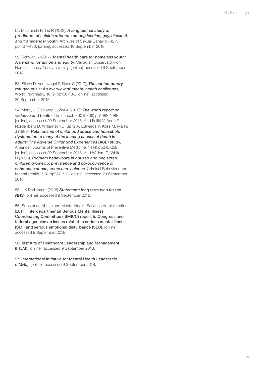51. Mustanski B, Liu R (2013), [A longitudinal study of](https://doi.org/10.1007/s10508-012-0013-9)  [predictors of suicide attempts among lesbian, gay, bisexual,](https://doi.org/10.1007/s10508-012-0013-9)  [and transgender youth](https://doi.org/10.1007/s10508-012-0013-9), Archives of Sexual Behavior, 42 (3) pp.437–438, [online], accessed 18 September 2018.

52. Schwan K (2017), [Mental health care for homeless youth:](http://homelesshub.ca/blog/mental-health-care-homeless-youth-demand-action-and-equity)  [A demand for action and equity](http://homelesshub.ca/blog/mental-health-care-homeless-youth-demand-action-and-equity), Canadian Observatory on Homelessness, York University, [online], accessed 9 September 2018.

53. Silove D, Ventevogel P, Rees S (2017), [The contemporary](https://doi.org/10.1002/wps.20438)  [refugee crisis: An overview of mental health challenges](https://doi.org/10.1002/wps.20438), World Psychiatry, 16 (2) pp130-139, [online], accessed 20 September 2018.

54. Mercy J, Dahlberg L, Zwi A (2002), [The world report on](https://doi.org/10.1016/S0140-6736(02)11133-0)  [violence and health](https://doi.org/10.1016/S0140-6736(02)11133-0), The Lancet, 360 (9339) pp1083-1088, [online], accessed 20 September 2018. And Felitti V, Anda R, Nordenberg D, Williamson D, Spitz A, Edwards V, Koss M, Marks J (1998), [Relationship of childhood abuse and household](https://doi.org/10.1016/S0749-3797(98)00017-8)  [dysfunction to many of the leading causes of death in](https://doi.org/10.1016/S0749-3797(98)00017-8)  [adults: The Adverse Childhood Experiences \(ACE\) study](https://doi.org/10.1016/S0749-3797(98)00017-8), American Journal of Preventive Medicine, 14 (4) pp245-258, [online], accessed 20 September 2018. And Widom C, White H (2006), [Problem behaviours in abused and neglected](https://doi.org/10.1002/cbm.191)  [children grown up: prevalence and co‐occurrence of](https://doi.org/10.1002/cbm.191)  [substance abuse, crime and violence](https://doi.org/10.1002/cbm.191), Criminal Behaviour and Mental Health, 7 (4) pp287-310, [online], accessed 20 September 2018.

55. UK Parliament (2018) [Statement: long term plan for the](https://www.parliament.uk/business/news/2018/june/statement-long-term-plan-for-the-nhs/)  [NHS](https://www.parliament.uk/business/news/2018/june/statement-long-term-plan-for-the-nhs/), [online], accessed 9 September 2018.

56. Substance Abuse and Mental Health Services Administration (2017), [Interdepartmental Serious Mental Illness](https://www.samhsa.gov/about-us/advisory-councils/ismicc)  [Coordinating Committee \(ISMICC\) report to Congress and](https://www.samhsa.gov/about-us/advisory-councils/ismicc)  [federal agencies on issues related to serious mental illness](https://www.samhsa.gov/about-us/advisory-councils/ismicc)  [\(SMI\) and serious emotional disturbance \(SED\)](https://www.samhsa.gov/about-us/advisory-councils/ismicc), [online], accessed 9 September 2018.

56. [Institute of Healthcare Leadership and Management](https://ihlm.org/about-us/)  [\(IHLM\)](https://ihlm.org/about-us/), [online], accessed 9 September 2018.

57. [International Initiative for Mental Health Leadership](http://www.iimhl.com/iimhl-about-us.html)  [\(IIMHL\)](http://www.iimhl.com/iimhl-about-us.html), [online], accessed 9 September 2018.